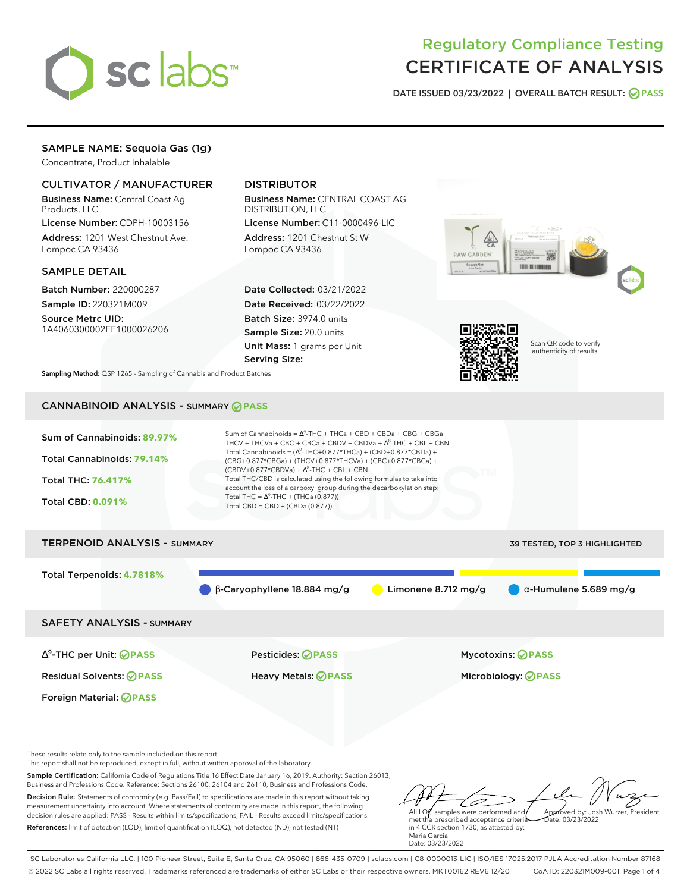

# Regulatory Compliance Testing CERTIFICATE OF ANALYSIS

**DATE ISSUED 03/23/2022 | OVERALL BATCH RESULT: PASS**

# SAMPLE NAME: Sequoia Gas (1g)

Concentrate, Product Inhalable

## CULTIVATOR / MANUFACTURER

Business Name: Central Coast Ag Products, LLC

License Number: CDPH-10003156 Address: 1201 West Chestnut Ave. Lompoc CA 93436

#### SAMPLE DETAIL

Batch Number: 220000287 Sample ID: 220321M009

Source Metrc UID: 1A4060300002EE1000026206

# DISTRIBUTOR

Business Name: CENTRAL COAST AG DISTRIBUTION, LLC

License Number: C11-0000496-LIC Address: 1201 Chestnut St W Lompoc CA 93436

Date Collected: 03/21/2022 Date Received: 03/22/2022 Batch Size: 3974.0 units Sample Size: 20.0 units Unit Mass: 1 grams per Unit Serving Size:





Scan QR code to verify authenticity of results.

**Sampling Method:** QSP 1265 - Sampling of Cannabis and Product Batches

# CANNABINOID ANALYSIS - SUMMARY **PASS**



# Total Terpenoids: **4.7818%**  $\theta$  β-Caryophyllene 18.884 mg/g **a** Limonene 8.712 mg/g **a** α-Humulene 5.689 mg/g SAFETY ANALYSIS - SUMMARY

∆ 9 -THC per Unit: **PASS** Pesticides: **PASS** Mycotoxins: **PASS**

Foreign Material: **PASS**

Residual Solvents: **PASS** Heavy Metals: **PASS** Microbiology: **PASS**

These results relate only to the sample included on this report.

This report shall not be reproduced, except in full, without written approval of the laboratory.

Sample Certification: California Code of Regulations Title 16 Effect Date January 16, 2019. Authority: Section 26013, Business and Professions Code. Reference: Sections 26100, 26104 and 26110, Business and Professions Code.

Decision Rule: Statements of conformity (e.g. Pass/Fail) to specifications are made in this report without taking measurement uncertainty into account. Where statements of conformity are made in this report, the following decision rules are applied: PASS - Results within limits/specifications, FAIL - Results exceed limits/specifications. References: limit of detection (LOD), limit of quantification (LOQ), not detected (ND), not tested (NT)

ستنسخ All LQ $\ell$  samples were performed and Approved by: Josh Wurzer, President  $ate: 03/23/2022$ 

met the prescribed acceptance criteria in 4 CCR section 1730, as attested by: Maria Garcia Date: 03/23/2022

SC Laboratories California LLC. | 100 Pioneer Street, Suite E, Santa Cruz, CA 95060 | 866-435-0709 | sclabs.com | C8-0000013-LIC | ISO/IES 17025:2017 PJLA Accreditation Number 87168 © 2022 SC Labs all rights reserved. Trademarks referenced are trademarks of either SC Labs or their respective owners. MKT00162 REV6 12/20 CoA ID: 220321M009-001 Page 1 of 4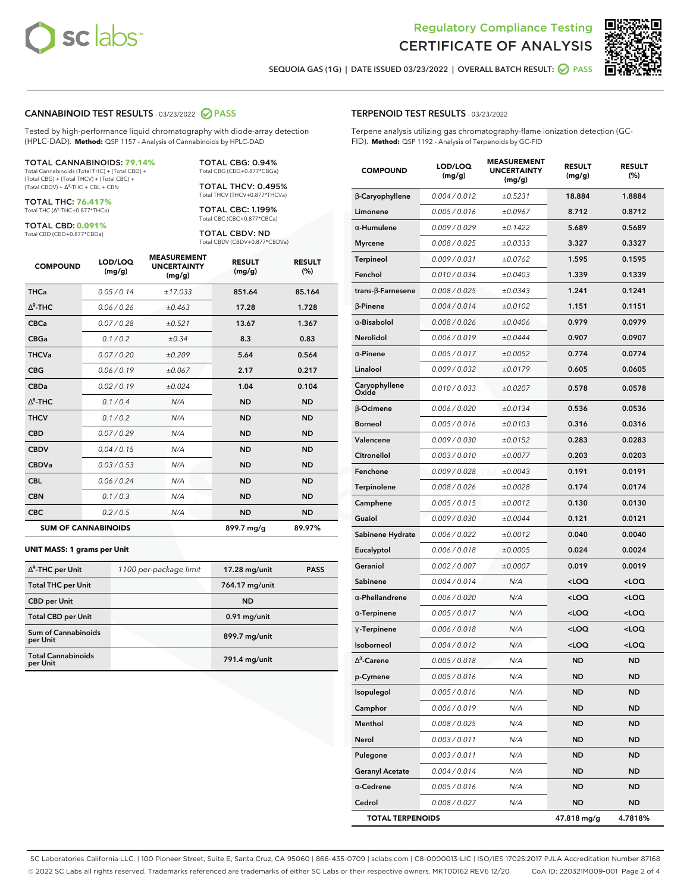



**SEQUOIA GAS (1G) | DATE ISSUED 03/23/2022 | OVERALL BATCH RESULT: PASS**

#### **CANNABINOID TEST RESULTS** - 03/23/2022 **PASS**

Tested by high-performance liquid chromatography with diode-array detection (HPLC-DAD). **Method:** QSP 1157 - Analysis of Cannabinoids by HPLC-DAD

#### TOTAL CANNABINOIDS: **79.14%**

Total Cannabinoids (Total THC) + (Total CBD) + (Total CBG) + (Total THCV) + (Total CBC) +  $(Total CBDV) +  $\Delta^8$ -THC + CBL + CBN$ 

TOTAL THC: **76.417%** Total THC (Δ<sup>9</sup>-THC+0.877\*THCa)

TOTAL CBD: **0.091%**

Total CBD (CBD+0.877\*CBDa)

TOTAL CBG: 0.94% Total CBG (CBG+0.877\*CBGa)

TOTAL THCV: 0.495% Total THCV (THCV+0.877\*THCVa)

TOTAL CBC: 1.199% Total CBC (CBC+0.877\*CBCa)

TOTAL CBDV: ND Total CBDV (CBDV+0.877\*CBDVa)

| <b>COMPOUND</b>  | LOD/LOQ<br>(mg/g)          | <b>MEASUREMENT</b><br><b>UNCERTAINTY</b><br>(mg/g) | <b>RESULT</b><br>(mg/g) | <b>RESULT</b><br>(%) |
|------------------|----------------------------|----------------------------------------------------|-------------------------|----------------------|
| <b>THCa</b>      | 0.05 / 0.14                | ±17.033                                            | 851.64                  | 85.164               |
| $\Delta^9$ -THC  | 0.06 / 0.26                | ±0.463                                             | 17.28                   | 1.728                |
| <b>CBCa</b>      | 0.07 / 0.28                | ±0.521                                             | 13.67                   | 1.367                |
| <b>CBGa</b>      | 0.1/0.2                    | $\pm 0.34$                                         | 8.3                     | 0.83                 |
| <b>THCVa</b>     | 0.07/0.20                  | ±0.209                                             | 5.64                    | 0.564                |
| <b>CBG</b>       | 0.06/0.19                  | ±0.067                                             | 2.17                    | 0.217                |
| <b>CBDa</b>      | 0.02/0.19                  | ±0.024                                             | 1.04                    | 0.104                |
| $\Lambda^8$ -THC | 0.1/0.4                    | N/A                                                | <b>ND</b>               | <b>ND</b>            |
| <b>THCV</b>      | 0.1 / 0.2                  | N/A                                                | <b>ND</b>               | <b>ND</b>            |
| <b>CBD</b>       | 0.07/0.29                  | N/A                                                | <b>ND</b>               | <b>ND</b>            |
| <b>CBDV</b>      | 0.04 / 0.15                | N/A                                                | <b>ND</b>               | <b>ND</b>            |
| <b>CBDVa</b>     | 0.03/0.53                  | N/A                                                | <b>ND</b>               | <b>ND</b>            |
| <b>CBL</b>       | 0.06 / 0.24                | N/A                                                | <b>ND</b>               | <b>ND</b>            |
| <b>CBN</b>       | 0.1/0.3                    | N/A                                                | <b>ND</b>               | <b>ND</b>            |
| <b>CBC</b>       | 0.2 / 0.5                  | N/A                                                | <b>ND</b>               | <b>ND</b>            |
|                  | <b>SUM OF CANNABINOIDS</b> |                                                    | 899.7 mg/g              | 89.97%               |

#### **UNIT MASS: 1 grams per Unit**

| $\Delta^9$ -THC per Unit              | 1100 per-package limit | $17.28$ mg/unit | <b>PASS</b> |
|---------------------------------------|------------------------|-----------------|-------------|
| <b>Total THC per Unit</b>             |                        | 764.17 mg/unit  |             |
| <b>CBD</b> per Unit                   |                        | <b>ND</b>       |             |
| <b>Total CBD per Unit</b>             |                        | $0.91$ mg/unit  |             |
| Sum of Cannabinoids<br>per Unit       |                        | 899.7 mg/unit   |             |
| <b>Total Cannabinoids</b><br>per Unit |                        | 791.4 mg/unit   |             |

#### **TERPENOID TEST RESULTS** - 03/23/2022

Terpene analysis utilizing gas chromatography-flame ionization detection (GC-FID). **Method:** QSP 1192 - Analysis of Terpenoids by GC-FID

| <b>COMPOUND</b>          | LOD/LOQ<br>(mg/g) | <b>MEASUREMENT</b><br><b>UNCERTAINTY</b><br>(mg/g) | <b>RESULT</b><br>(mg/g)                         | <b>RESULT</b><br>(%) |
|--------------------------|-------------------|----------------------------------------------------|-------------------------------------------------|----------------------|
| β-Caryophyllene          | 0.004 / 0.012     | ±0.5231                                            | 18.884                                          | 1.8884               |
| Limonene                 | 0.005 / 0.016     | ±0.0967                                            | 8.712                                           | 0.8712               |
| $\alpha$ -Humulene       | 0.009/0.029       | ±0.1422                                            | 5.689                                           | 0.5689               |
| <b>Myrcene</b>           | 0.008 / 0.025     | ±0.0333                                            | 3.327                                           | 0.3327               |
| Terpineol                | 0.009 / 0.031     | ±0.0762                                            | 1.595                                           | 0.1595               |
| Fenchol                  | 0.010 / 0.034     | ±0.0403                                            | 1.339                                           | 0.1339               |
| $trans-\beta$ -Farnesene | 0.008 / 0.025     | ±0.0343                                            | 1.241                                           | 0.1241               |
| $\beta$ -Pinene          | 0.004 / 0.014     | ±0.0102                                            | 1.151                                           | 0.1151               |
| $\alpha$ -Bisabolol      | 0.008 / 0.026     | ±0.0406                                            | 0.979                                           | 0.0979               |
| Nerolidol                | 0.006 / 0.019     | ±0.0444                                            | 0.907                                           | 0.0907               |
| $\alpha$ -Pinene         | 0.005 / 0.017     | ±0.0052                                            | 0.774                                           | 0.0774               |
| Linalool                 | 0.009 / 0.032     | ±0.0179                                            | 0.605                                           | 0.0605               |
| Caryophyllene<br>Oxide   | 0.010 / 0.033     | ±0.0207                                            | 0.578                                           | 0.0578               |
| <b>B-Ocimene</b>         | 0.006 / 0.020     | ±0.0134                                            | 0.536                                           | 0.0536               |
| <b>Borneol</b>           | 0.005 / 0.016     | ±0.0103                                            | 0.316                                           | 0.0316               |
| Valencene                | 0.009 / 0.030     | ±0.0152                                            | 0.283                                           | 0.0283               |
| Citronellol              | 0.003 / 0.010     | ±0.0077                                            | 0.203                                           | 0.0203               |
| Fenchone                 | 0.009/0.028       | ±0.0043                                            | 0.191                                           | 0.0191               |
| Terpinolene              | 0.008 / 0.026     | ±0.0028                                            | 0.174                                           | 0.0174               |
| Camphene                 | 0.005 / 0.015     | ±0.0012                                            | 0.130                                           | 0.0130               |
| Guaiol                   | 0.009 / 0.030     | ±0.0044                                            | 0.121                                           | 0.0121               |
| Sabinene Hydrate         | 0.006 / 0.022     | ±0.0012                                            | 0.040                                           | 0.0040               |
| Eucalyptol               | 0.006 / 0.018     | ±0.0005                                            | 0.024                                           | 0.0024               |
| Geraniol                 | 0.002 / 0.007     | ±0.0007                                            | 0.019                                           | 0.0019               |
| Sabinene                 | 0.004 / 0.014     | N/A                                                | <loq< th=""><th><loq< th=""></loq<></th></loq<> | <loq< th=""></loq<>  |
| $\alpha$ -Phellandrene   | 0.006 / 0.020     | N/A                                                | <loq< th=""><th><loq< th=""></loq<></th></loq<> | <loq< th=""></loq<>  |
| $\alpha$ -Terpinene      | 0.005 / 0.017     | N/A                                                | <loq< th=""><th><loq< th=""></loq<></th></loq<> | <loq< th=""></loq<>  |
| $\gamma$ -Terpinene      | 0.006 / 0.018     | N/A                                                | <loq< th=""><th><loq< th=""></loq<></th></loq<> | <loq< th=""></loq<>  |
| Isoborneol               | 0.004 / 0.012     | N/A                                                | <loq< th=""><th><loq< th=""></loq<></th></loq<> | <loq< th=""></loq<>  |
| $\Delta^3$ -Carene       | 0.005 / 0.018     | N/A                                                | <b>ND</b>                                       | <b>ND</b>            |
| p-Cymene                 | 0.005 / 0.016     | N/A                                                | ND                                              | ND                   |
| Isopulegol               | 0.005 / 0.016     | N/A                                                | <b>ND</b>                                       | ND                   |
| Camphor                  | 0.006 / 0.019     | N/A                                                | <b>ND</b>                                       | <b>ND</b>            |
| Menthol                  | 0.008 / 0.025     | N/A                                                | ND                                              | <b>ND</b>            |
| Nerol                    | 0.003 / 0.011     | N/A                                                | ND                                              | ND                   |
| Pulegone                 | 0.003 / 0.011     | N/A                                                | <b>ND</b>                                       | <b>ND</b>            |
| <b>Geranyl Acetate</b>   | 0.004 / 0.014     | N/A                                                | ND                                              | ND                   |
| $\alpha$ -Cedrene        | 0.005 / 0.016     | N/A                                                | ND                                              | ND                   |
| Cedrol                   | 0.008 / 0.027     | N/A                                                | <b>ND</b>                                       | ND                   |
| <b>TOTAL TERPENOIDS</b>  |                   |                                                    | 47.818 mg/g                                     | 4.7818%              |

SC Laboratories California LLC. | 100 Pioneer Street, Suite E, Santa Cruz, CA 95060 | 866-435-0709 | sclabs.com | C8-0000013-LIC | ISO/IES 17025:2017 PJLA Accreditation Number 87168 © 2022 SC Labs all rights reserved. Trademarks referenced are trademarks of either SC Labs or their respective owners. MKT00162 REV6 12/20 CoA ID: 220321M009-001 Page 2 of 4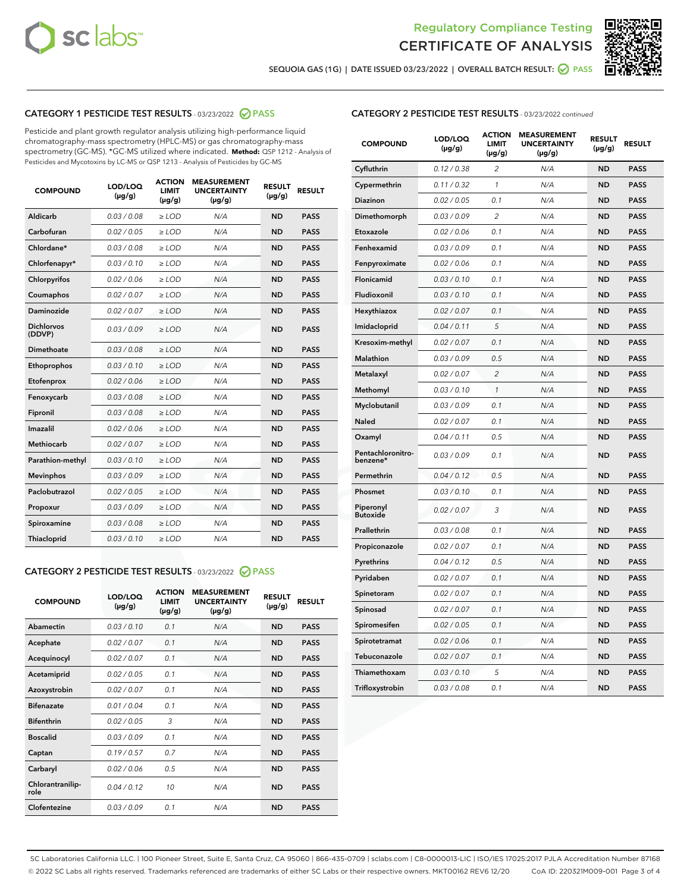



**SEQUOIA GAS (1G) | DATE ISSUED 03/23/2022 | OVERALL BATCH RESULT: PASS**

### **CATEGORY 1 PESTICIDE TEST RESULTS** - 03/23/2022 **PASS**

Pesticide and plant growth regulator analysis utilizing high-performance liquid chromatography-mass spectrometry (HPLC-MS) or gas chromatography-mass spectrometry (GC-MS). \*GC-MS utilized where indicated. **Method:** QSP 1212 - Analysis of Pesticides and Mycotoxins by LC-MS or QSP 1213 - Analysis of Pesticides by GC-MS

| 0.03 / 0.08<br><b>ND</b><br>Aldicarb<br>$\ge$ LOD<br>N/A<br><b>PASS</b><br>Carbofuran<br>0.02 / 0.05<br>$>$ LOD<br>N/A<br><b>ND</b><br><b>PASS</b><br>Chlordane*<br>0.03 / 0.08<br>N/A<br><b>ND</b><br><b>PASS</b><br>$\ge$ LOD<br>Chlorfenapyr*<br>0.03/0.10<br>N/A<br><b>ND</b><br><b>PASS</b><br>$\ge$ LOD<br>N/A<br><b>ND</b><br><b>PASS</b><br>Chlorpyrifos<br>0.02/0.06<br>$>$ LOD<br>0.02 / 0.07<br><b>PASS</b><br>Coumaphos<br>$\ge$ LOD<br>N/A<br><b>ND</b><br>Daminozide<br>0.02 / 0.07<br>N/A<br><b>PASS</b><br>$\ge$ LOD<br><b>ND</b><br><b>Dichlorvos</b><br>0.03/0.09<br>N/A<br>$\ge$ LOD<br><b>ND</b><br><b>PASS</b><br>(DDVP)<br>0.03 / 0.08<br><b>ND</b><br>Dimethoate<br>$>$ LOD<br>N/A<br><b>PASS</b><br>0.03/0.10<br><b>ND</b><br><b>PASS</b><br>Ethoprophos<br>$>$ LOD<br>N/A<br>0.02 / 0.06<br>N/A<br><b>ND</b><br><b>PASS</b><br>Etofenprox<br>$\ge$ LOD<br>0.03 / 0.08<br>N/A<br><b>ND</b><br><b>PASS</b><br>Fenoxycarb<br>$\ge$ LOD<br>0.03 / 0.08<br><b>ND</b><br><b>PASS</b><br>Fipronil<br>$\ge$ LOD<br>N/A<br>Imazalil<br>0.02 / 0.06<br>N/A<br><b>ND</b><br>$\ge$ LOD<br><b>PASS</b><br><b>Methiocarb</b><br>0.02 / 0.07<br>$\ge$ LOD<br>N/A<br><b>ND</b><br><b>PASS</b><br>Parathion-methyl<br>0.03/0.10<br>$>$ LOD<br>N/A<br><b>ND</b><br><b>PASS</b><br>0.03/0.09<br>N/A<br><b>ND</b><br><b>PASS</b><br><b>Mevinphos</b><br>$\ge$ LOD<br>Paclobutrazol<br>0.02 / 0.05<br>N/A<br><b>ND</b><br><b>PASS</b><br>$\ge$ LOD<br>0.03/0.09<br>$>$ LOD<br>N/A<br><b>ND</b><br><b>PASS</b><br>Propoxur<br>0.03 / 0.08<br>$\ge$ LOD<br>N/A<br><b>ND</b><br><b>PASS</b><br>Spiroxamine<br>0.03/0.10<br>N/A<br><b>ND</b><br><b>PASS</b><br>Thiacloprid<br>$\ge$ LOD | <b>COMPOUND</b> | LOD/LOQ<br>$(\mu g/g)$ | <b>ACTION</b><br><b>LIMIT</b><br>$(\mu g/g)$ | <b>MEASUREMENT</b><br><b>UNCERTAINTY</b><br>$(\mu g/g)$ | <b>RESULT</b><br>$(\mu g/g)$ | <b>RESULT</b> |
|-----------------------------------------------------------------------------------------------------------------------------------------------------------------------------------------------------------------------------------------------------------------------------------------------------------------------------------------------------------------------------------------------------------------------------------------------------------------------------------------------------------------------------------------------------------------------------------------------------------------------------------------------------------------------------------------------------------------------------------------------------------------------------------------------------------------------------------------------------------------------------------------------------------------------------------------------------------------------------------------------------------------------------------------------------------------------------------------------------------------------------------------------------------------------------------------------------------------------------------------------------------------------------------------------------------------------------------------------------------------------------------------------------------------------------------------------------------------------------------------------------------------------------------------------------------------------------------------------------------------------------------------------------------------------------------------|-----------------|------------------------|----------------------------------------------|---------------------------------------------------------|------------------------------|---------------|
|                                                                                                                                                                                                                                                                                                                                                                                                                                                                                                                                                                                                                                                                                                                                                                                                                                                                                                                                                                                                                                                                                                                                                                                                                                                                                                                                                                                                                                                                                                                                                                                                                                                                                         |                 |                        |                                              |                                                         |                              |               |
|                                                                                                                                                                                                                                                                                                                                                                                                                                                                                                                                                                                                                                                                                                                                                                                                                                                                                                                                                                                                                                                                                                                                                                                                                                                                                                                                                                                                                                                                                                                                                                                                                                                                                         |                 |                        |                                              |                                                         |                              |               |
|                                                                                                                                                                                                                                                                                                                                                                                                                                                                                                                                                                                                                                                                                                                                                                                                                                                                                                                                                                                                                                                                                                                                                                                                                                                                                                                                                                                                                                                                                                                                                                                                                                                                                         |                 |                        |                                              |                                                         |                              |               |
|                                                                                                                                                                                                                                                                                                                                                                                                                                                                                                                                                                                                                                                                                                                                                                                                                                                                                                                                                                                                                                                                                                                                                                                                                                                                                                                                                                                                                                                                                                                                                                                                                                                                                         |                 |                        |                                              |                                                         |                              |               |
|                                                                                                                                                                                                                                                                                                                                                                                                                                                                                                                                                                                                                                                                                                                                                                                                                                                                                                                                                                                                                                                                                                                                                                                                                                                                                                                                                                                                                                                                                                                                                                                                                                                                                         |                 |                        |                                              |                                                         |                              |               |
|                                                                                                                                                                                                                                                                                                                                                                                                                                                                                                                                                                                                                                                                                                                                                                                                                                                                                                                                                                                                                                                                                                                                                                                                                                                                                                                                                                                                                                                                                                                                                                                                                                                                                         |                 |                        |                                              |                                                         |                              |               |
|                                                                                                                                                                                                                                                                                                                                                                                                                                                                                                                                                                                                                                                                                                                                                                                                                                                                                                                                                                                                                                                                                                                                                                                                                                                                                                                                                                                                                                                                                                                                                                                                                                                                                         |                 |                        |                                              |                                                         |                              |               |
|                                                                                                                                                                                                                                                                                                                                                                                                                                                                                                                                                                                                                                                                                                                                                                                                                                                                                                                                                                                                                                                                                                                                                                                                                                                                                                                                                                                                                                                                                                                                                                                                                                                                                         |                 |                        |                                              |                                                         |                              |               |
|                                                                                                                                                                                                                                                                                                                                                                                                                                                                                                                                                                                                                                                                                                                                                                                                                                                                                                                                                                                                                                                                                                                                                                                                                                                                                                                                                                                                                                                                                                                                                                                                                                                                                         |                 |                        |                                              |                                                         |                              |               |
|                                                                                                                                                                                                                                                                                                                                                                                                                                                                                                                                                                                                                                                                                                                                                                                                                                                                                                                                                                                                                                                                                                                                                                                                                                                                                                                                                                                                                                                                                                                                                                                                                                                                                         |                 |                        |                                              |                                                         |                              |               |
|                                                                                                                                                                                                                                                                                                                                                                                                                                                                                                                                                                                                                                                                                                                                                                                                                                                                                                                                                                                                                                                                                                                                                                                                                                                                                                                                                                                                                                                                                                                                                                                                                                                                                         |                 |                        |                                              |                                                         |                              |               |
|                                                                                                                                                                                                                                                                                                                                                                                                                                                                                                                                                                                                                                                                                                                                                                                                                                                                                                                                                                                                                                                                                                                                                                                                                                                                                                                                                                                                                                                                                                                                                                                                                                                                                         |                 |                        |                                              |                                                         |                              |               |
|                                                                                                                                                                                                                                                                                                                                                                                                                                                                                                                                                                                                                                                                                                                                                                                                                                                                                                                                                                                                                                                                                                                                                                                                                                                                                                                                                                                                                                                                                                                                                                                                                                                                                         |                 |                        |                                              |                                                         |                              |               |
|                                                                                                                                                                                                                                                                                                                                                                                                                                                                                                                                                                                                                                                                                                                                                                                                                                                                                                                                                                                                                                                                                                                                                                                                                                                                                                                                                                                                                                                                                                                                                                                                                                                                                         |                 |                        |                                              |                                                         |                              |               |
|                                                                                                                                                                                                                                                                                                                                                                                                                                                                                                                                                                                                                                                                                                                                                                                                                                                                                                                                                                                                                                                                                                                                                                                                                                                                                                                                                                                                                                                                                                                                                                                                                                                                                         |                 |                        |                                              |                                                         |                              |               |
|                                                                                                                                                                                                                                                                                                                                                                                                                                                                                                                                                                                                                                                                                                                                                                                                                                                                                                                                                                                                                                                                                                                                                                                                                                                                                                                                                                                                                                                                                                                                                                                                                                                                                         |                 |                        |                                              |                                                         |                              |               |
|                                                                                                                                                                                                                                                                                                                                                                                                                                                                                                                                                                                                                                                                                                                                                                                                                                                                                                                                                                                                                                                                                                                                                                                                                                                                                                                                                                                                                                                                                                                                                                                                                                                                                         |                 |                        |                                              |                                                         |                              |               |
|                                                                                                                                                                                                                                                                                                                                                                                                                                                                                                                                                                                                                                                                                                                                                                                                                                                                                                                                                                                                                                                                                                                                                                                                                                                                                                                                                                                                                                                                                                                                                                                                                                                                                         |                 |                        |                                              |                                                         |                              |               |
|                                                                                                                                                                                                                                                                                                                                                                                                                                                                                                                                                                                                                                                                                                                                                                                                                                                                                                                                                                                                                                                                                                                                                                                                                                                                                                                                                                                                                                                                                                                                                                                                                                                                                         |                 |                        |                                              |                                                         |                              |               |
|                                                                                                                                                                                                                                                                                                                                                                                                                                                                                                                                                                                                                                                                                                                                                                                                                                                                                                                                                                                                                                                                                                                                                                                                                                                                                                                                                                                                                                                                                                                                                                                                                                                                                         |                 |                        |                                              |                                                         |                              |               |
|                                                                                                                                                                                                                                                                                                                                                                                                                                                                                                                                                                                                                                                                                                                                                                                                                                                                                                                                                                                                                                                                                                                                                                                                                                                                                                                                                                                                                                                                                                                                                                                                                                                                                         |                 |                        |                                              |                                                         |                              |               |

# **CATEGORY 2 PESTICIDE TEST RESULTS** - 03/23/2022 **PASS**

| <b>COMPOUND</b>          | LOD/LOQ<br>$(\mu g/g)$ | <b>ACTION</b><br><b>LIMIT</b><br>$(\mu g/g)$ | <b>MEASUREMENT</b><br><b>UNCERTAINTY</b><br>$(\mu g/g)$ | <b>RESULT</b><br>$(\mu g/g)$ | <b>RESULT</b> |  |
|--------------------------|------------------------|----------------------------------------------|---------------------------------------------------------|------------------------------|---------------|--|
| Abamectin                | 0.03/0.10              | 0.1                                          | N/A                                                     | <b>ND</b>                    | <b>PASS</b>   |  |
| Acephate                 | 0.02/0.07              | 0.1                                          | N/A                                                     | <b>ND</b>                    | <b>PASS</b>   |  |
| Acequinocyl              | 0.02/0.07              | 0.1                                          | N/A                                                     | <b>ND</b>                    | <b>PASS</b>   |  |
| Acetamiprid              | 0.02/0.05              | 0.1                                          | N/A                                                     | <b>ND</b>                    | <b>PASS</b>   |  |
| Azoxystrobin             | 0.02/0.07              | 0.1                                          | N/A                                                     | <b>ND</b>                    | <b>PASS</b>   |  |
| <b>Bifenazate</b>        | 0.01/0.04              | 0.1                                          | N/A                                                     | <b>ND</b>                    | <b>PASS</b>   |  |
| <b>Bifenthrin</b>        | 0.02 / 0.05            | 3                                            | N/A                                                     | <b>ND</b>                    | <b>PASS</b>   |  |
| <b>Boscalid</b>          | 0.03/0.09              | 0.1                                          | N/A                                                     | <b>ND</b>                    | <b>PASS</b>   |  |
| Captan                   | 0.19/0.57              | 0.7                                          | N/A                                                     | <b>ND</b>                    | <b>PASS</b>   |  |
| Carbaryl                 | 0.02/0.06              | 0.5                                          | N/A                                                     | <b>ND</b>                    | <b>PASS</b>   |  |
| Chlorantranilip-<br>role | 0.04/0.12              | 10                                           | N/A                                                     | <b>ND</b>                    | <b>PASS</b>   |  |
| Clofentezine             | 0.03/0.09              | 0.1                                          | N/A                                                     | <b>ND</b>                    | <b>PASS</b>   |  |

#### **CATEGORY 2 PESTICIDE TEST RESULTS** - 03/23/2022 continued

| <b>COMPOUND</b>               | LOD/LOQ<br>(µg/g) | <b>ACTION</b><br><b>LIMIT</b><br>(µg/g) | <b>MEASUREMENT</b><br><b>UNCERTAINTY</b><br>$(\mu g/g)$ | <b>RESULT</b><br>(µg/g) | <b>RESULT</b> |
|-------------------------------|-------------------|-----------------------------------------|---------------------------------------------------------|-------------------------|---------------|
| Cyfluthrin                    | 0.12 / 0.38       | $\overline{c}$                          | N/A                                                     | <b>ND</b>               | <b>PASS</b>   |
| Cypermethrin                  | 0.11 / 0.32       | 1                                       | N/A                                                     | <b>ND</b>               | <b>PASS</b>   |
| <b>Diazinon</b>               | 0.02 / 0.05       | 0.1                                     | N/A                                                     | <b>ND</b>               | <b>PASS</b>   |
| Dimethomorph                  | 0.03 / 0.09       | $\overline{c}$                          | N/A                                                     | <b>ND</b>               | <b>PASS</b>   |
| Etoxazole                     | 0.02 / 0.06       | 0.1                                     | N/A                                                     | <b>ND</b>               | <b>PASS</b>   |
| Fenhexamid                    | 0.03 / 0.09       | 0.1                                     | N/A                                                     | <b>ND</b>               | <b>PASS</b>   |
| Fenpyroximate                 | 0.02 / 0.06       | 0.1                                     | N/A                                                     | <b>ND</b>               | <b>PASS</b>   |
| Flonicamid                    | 0.03 / 0.10       | 0.1                                     | N/A                                                     | <b>ND</b>               | <b>PASS</b>   |
| Fludioxonil                   | 0.03 / 0.10       | 0.1                                     | N/A                                                     | <b>ND</b>               | <b>PASS</b>   |
| Hexythiazox                   | 0.02 / 0.07       | 0.1                                     | N/A                                                     | <b>ND</b>               | <b>PASS</b>   |
| Imidacloprid                  | 0.04 / 0.11       | 5                                       | N/A                                                     | <b>ND</b>               | <b>PASS</b>   |
| Kresoxim-methyl               | 0.02 / 0.07       | 0.1                                     | N/A                                                     | <b>ND</b>               | <b>PASS</b>   |
| Malathion                     | 0.03 / 0.09       | 0.5                                     | N/A                                                     | <b>ND</b>               | <b>PASS</b>   |
| Metalaxyl                     | 0.02 / 0.07       | $\overline{c}$                          | N/A                                                     | <b>ND</b>               | <b>PASS</b>   |
| Methomyl                      | 0.03 / 0.10       | 1                                       | N/A                                                     | <b>ND</b>               | <b>PASS</b>   |
| Myclobutanil                  | 0.03 / 0.09       | 0.1                                     | N/A                                                     | <b>ND</b>               | <b>PASS</b>   |
| Naled                         | 0.02 / 0.07       | 0.1                                     | N/A                                                     | <b>ND</b>               | <b>PASS</b>   |
| Oxamyl                        | 0.04 / 0.11       | 0.5                                     | N/A                                                     | ND                      | <b>PASS</b>   |
| Pentachloronitro-<br>benzene* | 0.03 / 0.09       | 0.1                                     | N/A                                                     | <b>ND</b>               | <b>PASS</b>   |
| Permethrin                    | 0.04 / 0.12       | 0.5                                     | N/A                                                     | <b>ND</b>               | <b>PASS</b>   |
| Phosmet                       | 0.03 / 0.10       | 0.1                                     | N/A                                                     | <b>ND</b>               | <b>PASS</b>   |
| Piperonyl<br><b>Butoxide</b>  | 0.02 / 0.07       | 3                                       | N/A                                                     | <b>ND</b>               | <b>PASS</b>   |
| Prallethrin                   | 0.03 / 0.08       | 0.1                                     | N/A                                                     | <b>ND</b>               | <b>PASS</b>   |
| Propiconazole                 | 0.02 / 0.07       | 0.1                                     | N/A                                                     | <b>ND</b>               | <b>PASS</b>   |
| Pyrethrins                    | 0.04 / 0.12       | 0.5                                     | N/A                                                     | <b>ND</b>               | <b>PASS</b>   |
| Pyridaben                     | 0.02 / 0.07       | 0.1                                     | N/A                                                     | <b>ND</b>               | <b>PASS</b>   |
| Spinetoram                    | 0.02 / 0.07       | 0.1                                     | N/A                                                     | <b>ND</b>               | <b>PASS</b>   |
| Spinosad                      | 0.02 / 0.07       | 0.1                                     | N/A                                                     | <b>ND</b>               | <b>PASS</b>   |
| Spiromesifen                  | 0.02 / 0.05       | 0.1                                     | N/A                                                     | <b>ND</b>               | <b>PASS</b>   |
| Spirotetramat                 | 0.02 / 0.06       | 0.1                                     | N/A                                                     | <b>ND</b>               | <b>PASS</b>   |
| Tebuconazole                  | 0.02 / 0.07       | 0.1                                     | N/A                                                     | <b>ND</b>               | <b>PASS</b>   |
| Thiamethoxam                  | 0.03 / 0.10       | 5                                       | N/A                                                     | <b>ND</b>               | <b>PASS</b>   |
| Trifloxystrobin               | 0.03 / 0.08       | 0.1                                     | N/A                                                     | <b>ND</b>               | <b>PASS</b>   |

SC Laboratories California LLC. | 100 Pioneer Street, Suite E, Santa Cruz, CA 95060 | 866-435-0709 | sclabs.com | C8-0000013-LIC | ISO/IES 17025:2017 PJLA Accreditation Number 87168 © 2022 SC Labs all rights reserved. Trademarks referenced are trademarks of either SC Labs or their respective owners. MKT00162 REV6 12/20 CoA ID: 220321M009-001 Page 3 of 4